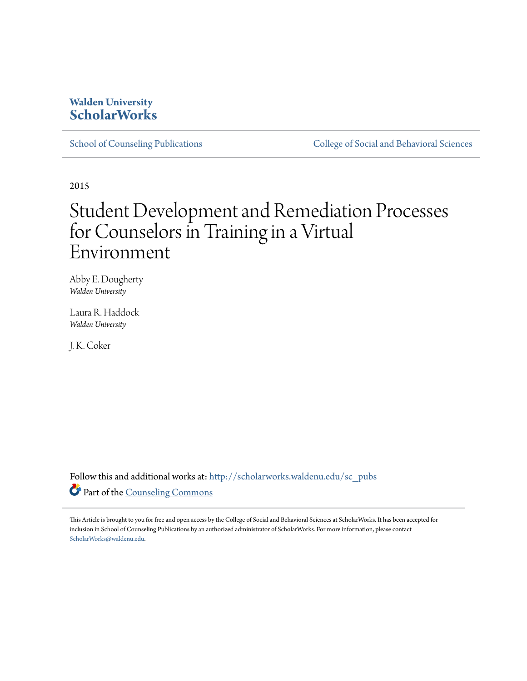## **Walden University [ScholarWorks](http://scholarworks.waldenu.edu?utm_source=scholarworks.waldenu.edu%2Fsc_pubs%2F10&utm_medium=PDF&utm_campaign=PDFCoverPages)**

[School of Counseling Publications](http://scholarworks.waldenu.edu/sc_pubs?utm_source=scholarworks.waldenu.edu%2Fsc_pubs%2F10&utm_medium=PDF&utm_campaign=PDFCoverPages) [College of Social and Behavioral Sciences](http://scholarworks.waldenu.edu/csbs?utm_source=scholarworks.waldenu.edu%2Fsc_pubs%2F10&utm_medium=PDF&utm_campaign=PDFCoverPages)

2015

# Student Development and Remediation Processes for Counselors in Training in a Virtual Environment

Abby E. Dougherty *Walden University*

Laura R. Haddock *Walden University*

J. K. Coker

Follow this and additional works at: [http://scholarworks.waldenu.edu/sc\\_pubs](http://scholarworks.waldenu.edu/sc_pubs?utm_source=scholarworks.waldenu.edu%2Fsc_pubs%2F10&utm_medium=PDF&utm_campaign=PDFCoverPages) Part of the [Counseling Commons](http://network.bepress.com/hgg/discipline/1268?utm_source=scholarworks.waldenu.edu%2Fsc_pubs%2F10&utm_medium=PDF&utm_campaign=PDFCoverPages)

This Article is brought to you for free and open access by the College of Social and Behavioral Sciences at ScholarWorks. It has been accepted for inclusion in School of Counseling Publications by an authorized administrator of ScholarWorks. For more information, please contact [ScholarWorks@waldenu.edu.](mailto:ScholarWorks@waldenu.edu)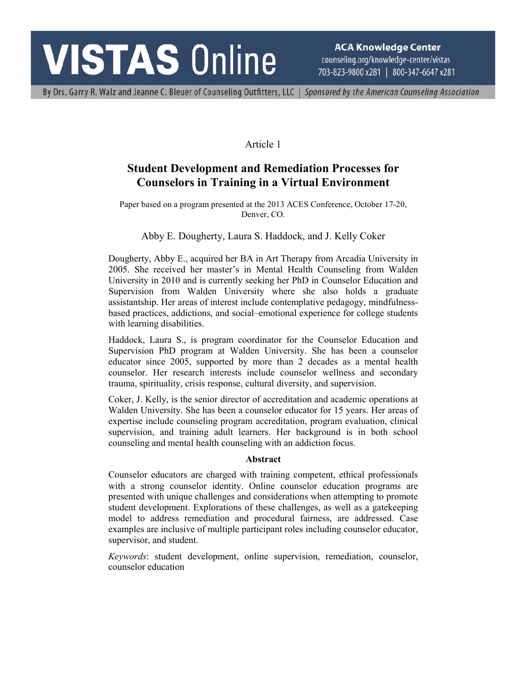# **VISTAS Online**

**ACA Knowledge Center** counseling.org/knowledge-center/vistas 703-823-9800 x281 | 800-347-6647 x281

By Drs. Garry R. Walz and Jeanne C. Bleuer of Counseling Outfitters, LLC | Sponsored by the American Counseling Association

#### Article 1

### **Student Development and Remediation Processes for Counselors in Training in a Virtual Environment**

Paper based on a program presented at the 2013 ACES Conference, October 17-20, Denver, CO.

#### Abby E. Dougherty, Laura S. Haddock, and J. Kelly Coker

Dougherty, Abby E., acquired her BA in Art Therapy from Arcadia University in 2005. She received her master's in Mental Health Counseling from Walden University in 2010 and is currently seeking her PhD in Counselor Education and Supervision from Walden University where she also holds a graduate assistantship. Her areas of interest include contemplative pedagogy, mindfulnessbased practices, addictions, and social–emotional experience for college students with learning disabilities.

Haddock, Laura S., is program coordinator for the Counselor Education and Supervision PhD program at Walden University. She has been a counselor educator since 2005, supported by more than 2 decades as a mental health counselor. Her research interests include counselor wellness and secondary trauma, spirituality, crisis response, cultural diversity, and supervision.

Coker, J. Kelly, is the senior director of accreditation and academic operations at Walden University. She has been a counselor educator for 15 years. Her areas of expertise include counseling program accreditation, program evaluation, clinical supervision, and training adult learners. Her background is in both school counseling and mental health counseling with an addiction focus.

#### **Abstract**

Counselor educators are charged with training competent, ethical professionals with a strong counselor identity. Online counselor education programs are presented with unique challenges and considerations when attempting to promote student development. Explorations of these challenges, as well as a gatekeeping model to address remediation and procedural fairness, are addressed. Case examples are inclusive of multiple participant roles including counselor educator, supervisor, and student.

*Keywords*: student development, online supervision, remediation, counselor, counselor education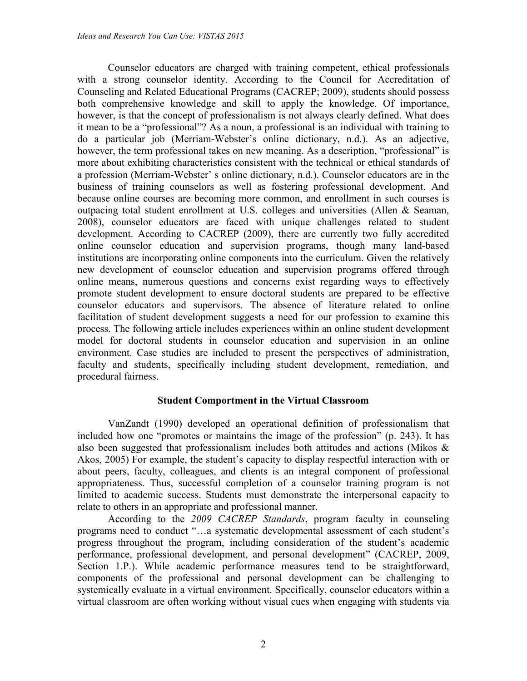Counselor educators are charged with training competent, ethical professionals with a strong counselor identity. According to the Council for Accreditation of Counseling and Related Educational Programs (CACREP; 2009), students should possess both comprehensive knowledge and skill to apply the knowledge. Of importance, however, is that the concept of professionalism is not always clearly defined. What does it mean to be a "professional"? As a noun, a professional is an individual with training to do a particular job (Merriam-Webster's online dictionary, n.d.). As an adjective, however, the term professional takes on new meaning. As a description, "professional" is more about exhibiting characteristics consistent with the technical or ethical standards of a profession (Merriam-Webster' s online dictionary, n.d.). Counselor educators are in the business of training counselors as well as fostering professional development. And because online courses are becoming more common, and enrollment in such courses is outpacing total student enrollment at U.S. colleges and universities (Allen & Seaman, 2008), counselor educators are faced with unique challenges related to student development. According to CACREP (2009), there are currently two fully accredited online counselor education and supervision programs, though many land-based institutions are incorporating online components into the curriculum. Given the relatively new development of counselor education and supervision programs offered through online means, numerous questions and concerns exist regarding ways to effectively promote student development to ensure doctoral students are prepared to be effective counselor educators and supervisors. The absence of literature related to online facilitation of student development suggests a need for our profession to examine this process. The following article includes experiences within an online student development model for doctoral students in counselor education and supervision in an online environment. Case studies are included to present the perspectives of administration, faculty and students, specifically including student development, remediation, and procedural fairness.

#### **Student Comportment in the Virtual Classroom**

VanZandt (1990) developed an operational definition of professionalism that included how one "promotes or maintains the image of the profession" (p. 243). It has also been suggested that professionalism includes both attitudes and actions (Mikos & Akos, 2005) For example, the student's capacity to display respectful interaction with or about peers, faculty, colleagues, and clients is an integral component of professional appropriateness. Thus, successful completion of a counselor training program is not limited to academic success. Students must demonstrate the interpersonal capacity to relate to others in an appropriate and professional manner.

According to the *2009 CACREP Standards*, program faculty in counseling programs need to conduct "…a systematic developmental assessment of each student's progress throughout the program, including consideration of the student's academic performance, professional development, and personal development" (CACREP, 2009, Section 1.P.). While academic performance measures tend to be straightforward, components of the professional and personal development can be challenging to systemically evaluate in a virtual environment. Specifically, counselor educators within a virtual classroom are often working without visual cues when engaging with students via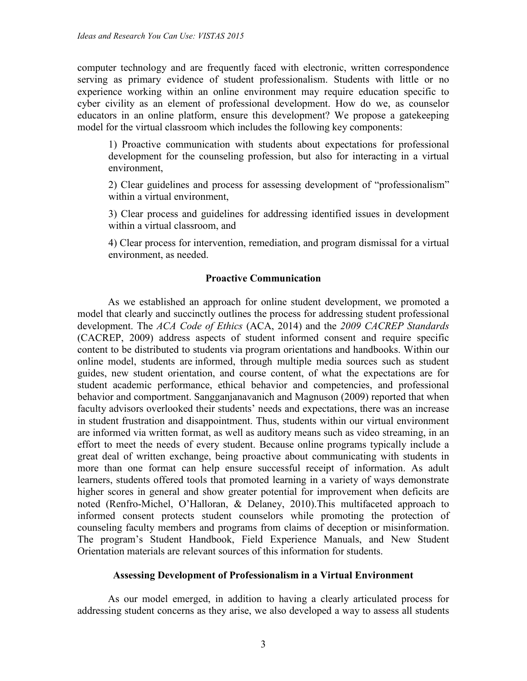computer technology and are frequently faced with electronic, written correspondence serving as primary evidence of student professionalism. Students with little or no experience working within an online environment may require education specific to cyber civility as an element of professional development. How do we, as counselor educators in an online platform, ensure this development? We propose a gatekeeping model for the virtual classroom which includes the following key components:

1) Proactive communication with students about expectations for professional development for the counseling profession, but also for interacting in a virtual environment,

2) Clear guidelines and process for assessing development of "professionalism" within a virtual environment,

3) Clear process and guidelines for addressing identified issues in development within a virtual classroom, and

4) Clear process for intervention, remediation, and program dismissal for a virtual environment, as needed.

#### **Proactive Communication**

As we established an approach for online student development, we promoted a model that clearly and succinctly outlines the process for addressing student professional development. The *ACA Code of Ethics* (ACA, 2014) and the *2009 CACREP Standards* (CACREP, 2009) address aspects of student informed consent and require specific content to be distributed to students via program orientations and handbooks. Within our online model, students are informed, through multiple media sources such as student guides, new student orientation, and course content, of what the expectations are for student academic performance, ethical behavior and competencies, and professional behavior and comportment. Sangganjanavanich and Magnuson (2009) reported that when faculty advisors overlooked their students' needs and expectations, there was an increase in student frustration and disappointment. Thus, students within our virtual environment are informed via written format, as well as auditory means such as video streaming, in an effort to meet the needs of every student. Because online programs typically include a great deal of written exchange, being proactive about communicating with students in more than one format can help ensure successful receipt of information. As adult learners, students offered tools that promoted learning in a variety of ways demonstrate higher scores in general and show greater potential for improvement when deficits are noted (Renfro-Michel, O'Halloran, & Delaney, 2010).This multifaceted approach to informed consent protects student counselors while promoting the protection of counseling faculty members and programs from claims of deception or misinformation. The program's Student Handbook, Field Experience Manuals, and New Student Orientation materials are relevant sources of this information for students.

#### **Assessing Development of Professionalism in a Virtual Environment**

As our model emerged, in addition to having a clearly articulated process for addressing student concerns as they arise, we also developed a way to assess all students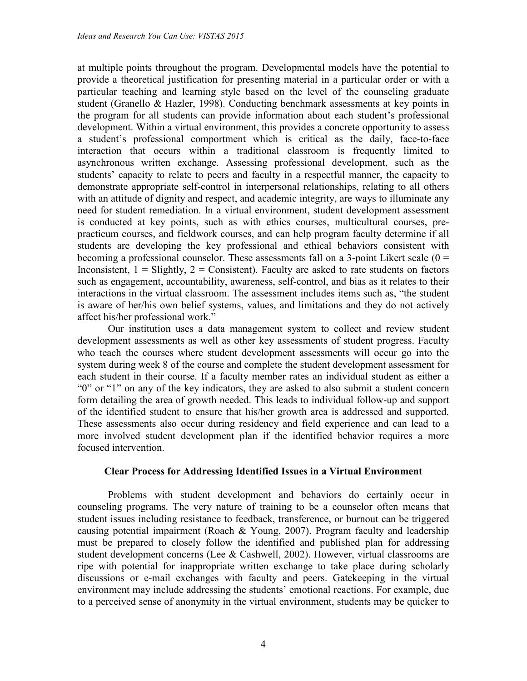at multiple points throughout the program. Developmental models have the potential to provide a theoretical justification for presenting material in a particular order or with a particular teaching and learning style based on the level of the counseling graduate student (Granello & Hazler, 1998). Conducting benchmark assessments at key points in the program for all students can provide information about each student's professional development. Within a virtual environment, this provides a concrete opportunity to assess a student's professional comportment which is critical as the daily, face-to-face interaction that occurs within a traditional classroom is frequently limited to asynchronous written exchange. Assessing professional development, such as the students' capacity to relate to peers and faculty in a respectful manner, the capacity to demonstrate appropriate self-control in interpersonal relationships, relating to all others with an attitude of dignity and respect, and academic integrity, are ways to illuminate any need for student remediation. In a virtual environment, student development assessment is conducted at key points, such as with ethics courses, multicultural courses, prepracticum courses, and fieldwork courses, and can help program faculty determine if all students are developing the key professional and ethical behaviors consistent with becoming a professional counselor. These assessments fall on a 3-point Likert scale  $(0 =$ Inconsistent,  $1 =$  Slightly,  $2 =$  Consistent). Faculty are asked to rate students on factors such as engagement, accountability, awareness, self-control, and bias as it relates to their interactions in the virtual classroom. The assessment includes items such as, "the student is aware of her/his own belief systems, values, and limitations and they do not actively affect his/her professional work."

Our institution uses a data management system to collect and review student development assessments as well as other key assessments of student progress. Faculty who teach the courses where student development assessments will occur go into the system during week 8 of the course and complete the student development assessment for each student in their course. If a faculty member rates an individual student as either a "0" or "1" on any of the key indicators, they are asked to also submit a student concern form detailing the area of growth needed. This leads to individual follow-up and support of the identified student to ensure that his/her growth area is addressed and supported. These assessments also occur during residency and field experience and can lead to a more involved student development plan if the identified behavior requires a more focused intervention.

#### **Clear Process for Addressing Identified Issues in a Virtual Environment**

Problems with student development and behaviors do certainly occur in counseling programs. The very nature of training to be a counselor often means that student issues including resistance to feedback, transference, or burnout can be triggered causing potential impairment (Roach & Young, 2007). Program faculty and leadership must be prepared to closely follow the identified and published plan for addressing student development concerns (Lee & Cashwell, 2002). However, virtual classrooms are ripe with potential for inappropriate written exchange to take place during scholarly discussions or e-mail exchanges with faculty and peers. Gatekeeping in the virtual environment may include addressing the students' emotional reactions. For example, due to a perceived sense of anonymity in the virtual environment, students may be quicker to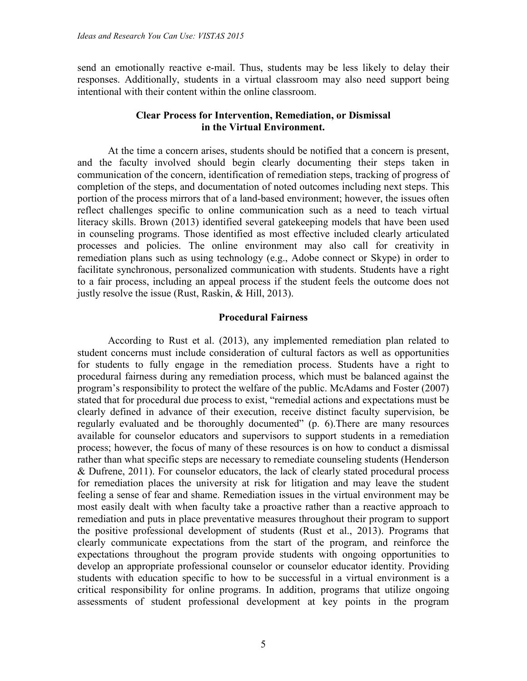send an emotionally reactive e-mail. Thus, students may be less likely to delay their responses. Additionally, students in a virtual classroom may also need support being intentional with their content within the online classroom.

#### **Clear Process for Intervention, Remediation, or Dismissal in the Virtual Environment.**

At the time a concern arises, students should be notified that a concern is present, and the faculty involved should begin clearly documenting their steps taken in communication of the concern, identification of remediation steps, tracking of progress of completion of the steps, and documentation of noted outcomes including next steps. This portion of the process mirrors that of a land-based environment; however, the issues often reflect challenges specific to online communication such as a need to teach virtual literacy skills. Brown (2013) identified several gatekeeping models that have been used in counseling programs. Those identified as most effective included clearly articulated processes and policies. The online environment may also call for creativity in remediation plans such as using technology (e.g., Adobe connect or Skype) in order to facilitate synchronous, personalized communication with students. Students have a right to a fair process, including an appeal process if the student feels the outcome does not justly resolve the issue (Rust, Raskin, & Hill, 2013).

#### **Procedural Fairness**

According to Rust et al. (2013), any implemented remediation plan related to student concerns must include consideration of cultural factors as well as opportunities for students to fully engage in the remediation process. Students have a right to procedural fairness during any remediation process, which must be balanced against the program's responsibility to protect the welfare of the public. McAdams and Foster (2007) stated that for procedural due process to exist, "remedial actions and expectations must be clearly defined in advance of their execution, receive distinct faculty supervision, be regularly evaluated and be thoroughly documented" (p. 6).There are many resources available for counselor educators and supervisors to support students in a remediation process; however, the focus of many of these resources is on how to conduct a dismissal rather than what specific steps are necessary to remediate counseling students (Henderson & Dufrene, 2011). For counselor educators, the lack of clearly stated procedural process for remediation places the university at risk for litigation and may leave the student feeling a sense of fear and shame. Remediation issues in the virtual environment may be most easily dealt with when faculty take a proactive rather than a reactive approach to remediation and puts in place preventative measures throughout their program to support the positive professional development of students (Rust et al., 2013). Programs that clearly communicate expectations from the start of the program, and reinforce the expectations throughout the program provide students with ongoing opportunities to develop an appropriate professional counselor or counselor educator identity. Providing students with education specific to how to be successful in a virtual environment is a critical responsibility for online programs. In addition, programs that utilize ongoing assessments of student professional development at key points in the program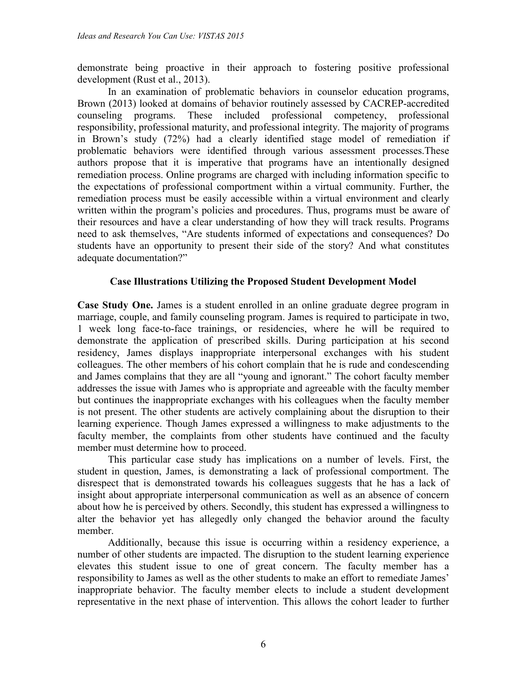demonstrate being proactive in their approach to fostering positive professional development (Rust et al., 2013).

In an examination of problematic behaviors in counselor education programs, Brown (2013) looked at domains of behavior routinely assessed by CACREP-accredited counseling programs. These included professional competency, professional responsibility, professional maturity, and professional integrity. The majority of programs in Brown's study (72%) had a clearly identified stage model of remediation if problematic behaviors were identified through various assessment processes.These authors propose that it is imperative that programs have an intentionally designed remediation process. Online programs are charged with including information specific to the expectations of professional comportment within a virtual community. Further, the remediation process must be easily accessible within a virtual environment and clearly written within the program's policies and procedures. Thus, programs must be aware of their resources and have a clear understanding of how they will track results. Programs need to ask themselves, "Are students informed of expectations and consequences? Do students have an opportunity to present their side of the story? And what constitutes adequate documentation?"

#### **Case Illustrations Utilizing the Proposed Student Development Model**

**Case Study One.** James is a student enrolled in an online graduate degree program in marriage, couple, and family counseling program. James is required to participate in two, 1 week long face-to-face trainings, or residencies, where he will be required to demonstrate the application of prescribed skills. During participation at his second residency, James displays inappropriate interpersonal exchanges with his student colleagues. The other members of his cohort complain that he is rude and condescending and James complains that they are all "young and ignorant." The cohort faculty member addresses the issue with James who is appropriate and agreeable with the faculty member but continues the inappropriate exchanges with his colleagues when the faculty member is not present. The other students are actively complaining about the disruption to their learning experience. Though James expressed a willingness to make adjustments to the faculty member, the complaints from other students have continued and the faculty member must determine how to proceed.

This particular case study has implications on a number of levels. First, the student in question, James, is demonstrating a lack of professional comportment. The disrespect that is demonstrated towards his colleagues suggests that he has a lack of insight about appropriate interpersonal communication as well as an absence of concern about how he is perceived by others. Secondly, this student has expressed a willingness to alter the behavior yet has allegedly only changed the behavior around the faculty member.

Additionally, because this issue is occurring within a residency experience, a number of other students are impacted. The disruption to the student learning experience elevates this student issue to one of great concern. The faculty member has a responsibility to James as well as the other students to make an effort to remediate James' inappropriate behavior. The faculty member elects to include a student development representative in the next phase of intervention. This allows the cohort leader to further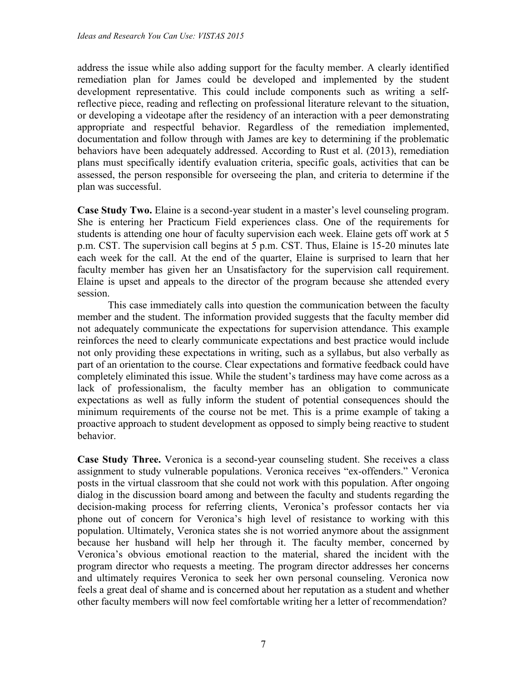address the issue while also adding support for the faculty member. A clearly identified remediation plan for James could be developed and implemented by the student development representative. This could include components such as writing a selfreflective piece, reading and reflecting on professional literature relevant to the situation, or developing a videotape after the residency of an interaction with a peer demonstrating appropriate and respectful behavior. Regardless of the remediation implemented, documentation and follow through with James are key to determining if the problematic behaviors have been adequately addressed. According to Rust et al. (2013), remediation plans must specifically identify evaluation criteria, specific goals, activities that can be assessed, the person responsible for overseeing the plan, and criteria to determine if the plan was successful.

**Case Study Two.** Elaine is a second-year student in a master's level counseling program. She is entering her Practicum Field experiences class. One of the requirements for students is attending one hour of faculty supervision each week. Elaine gets off work at 5 p.m. CST. The supervision call begins at 5 p.m. CST. Thus, Elaine is 15-20 minutes late each week for the call. At the end of the quarter, Elaine is surprised to learn that her faculty member has given her an Unsatisfactory for the supervision call requirement. Elaine is upset and appeals to the director of the program because she attended every session.

This case immediately calls into question the communication between the faculty member and the student. The information provided suggests that the faculty member did not adequately communicate the expectations for supervision attendance. This example reinforces the need to clearly communicate expectations and best practice would include not only providing these expectations in writing, such as a syllabus, but also verbally as part of an orientation to the course. Clear expectations and formative feedback could have completely eliminated this issue. While the student's tardiness may have come across as a lack of professionalism, the faculty member has an obligation to communicate expectations as well as fully inform the student of potential consequences should the minimum requirements of the course not be met. This is a prime example of taking a proactive approach to student development as opposed to simply being reactive to student behavior.

**Case Study Three.** Veronica is a second-year counseling student. She receives a class assignment to study vulnerable populations. Veronica receives "ex-offenders." Veronica posts in the virtual classroom that she could not work with this population. After ongoing dialog in the discussion board among and between the faculty and students regarding the decision-making process for referring clients, Veronica's professor contacts her via phone out of concern for Veronica's high level of resistance to working with this population. Ultimately, Veronica states she is not worried anymore about the assignment because her husband will help her through it. The faculty member, concerned by Veronica's obvious emotional reaction to the material, shared the incident with the program director who requests a meeting. The program director addresses her concerns and ultimately requires Veronica to seek her own personal counseling. Veronica now feels a great deal of shame and is concerned about her reputation as a student and whether other faculty members will now feel comfortable writing her a letter of recommendation?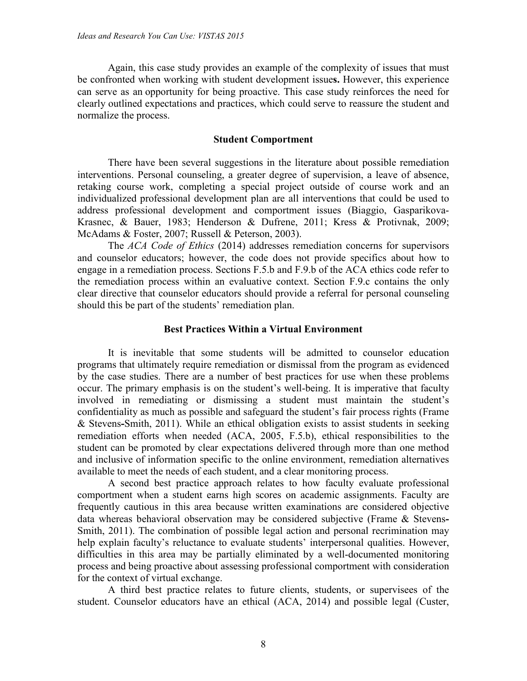Again, this case study provides an example of the complexity of issues that must be confronted when working with student development issue**s.** However, this experience can serve as an opportunity for being proactive. This case study reinforces the need for clearly outlined expectations and practices, which could serve to reassure the student and normalize the process.

#### **Student Comportment**

There have been several suggestions in the literature about possible remediation interventions. Personal counseling, a greater degree of supervision, a leave of absence, retaking course work, completing a special project outside of course work and an individualized professional development plan are all interventions that could be used to address professional development and comportment issues (Biaggio, Gasparikova-Krasnec, & Bauer, 1983; Henderson & Dufrene, 2011; Kress & Protivnak, 2009; McAdams & Foster, 2007; Russell & Peterson, 2003).

The *ACA Code of Ethics* (2014) addresses remediation concerns for supervisors and counselor educators; however, the code does not provide specifics about how to engage in a remediation process. Sections F.5.b and F.9.b of the ACA ethics code refer to the remediation process within an evaluative context. Section F.9.c contains the only clear directive that counselor educators should provide a referral for personal counseling should this be part of the students' remediation plan.

#### **Best Practices Within a Virtual Environment**

It is inevitable that some students will be admitted to counselor education programs that ultimately require remediation or dismissal from the program as evidenced by the case studies. There are a number of best practices for use when these problems occur. The primary emphasis is on the student's well-being. It is imperative that faculty involved in remediating or dismissing a student must maintain the student's confidentiality as much as possible and safeguard the student's fair process rights (Frame & Stevens**-**Smith, 2011). While an ethical obligation exists to assist students in seeking remediation efforts when needed (ACA, 2005, F.5.b), ethical responsibilities to the student can be promoted by clear expectations delivered through more than one method and inclusive of information specific to the online environment, remediation alternatives available to meet the needs of each student, and a clear monitoring process.

A second best practice approach relates to how faculty evaluate professional comportment when a student earns high scores on academic assignments. Faculty are frequently cautious in this area because written examinations are considered objective data whereas behavioral observation may be considered subjective (Frame & Stevens**-**Smith, 2011). The combination of possible legal action and personal recrimination may help explain faculty's reluctance to evaluate students' interpersonal qualities. However, difficulties in this area may be partially eliminated by a well-documented monitoring process and being proactive about assessing professional comportment with consideration for the context of virtual exchange.

A third best practice relates to future clients, students, or supervisees of the student. Counselor educators have an ethical (ACA, 2014) and possible legal (Custer,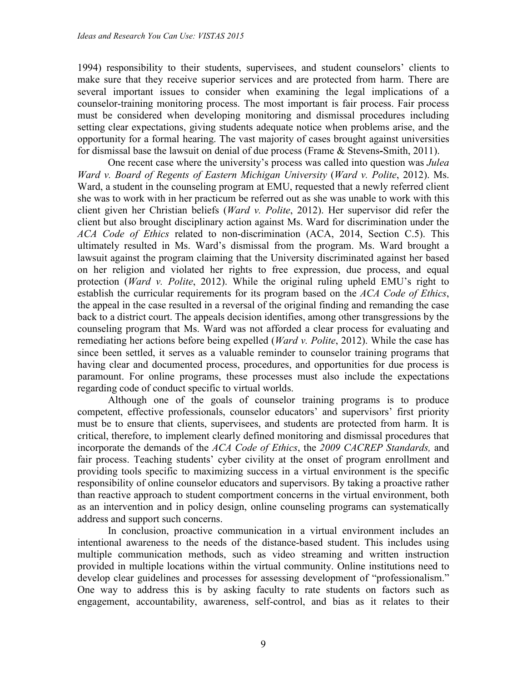1994) responsibility to their students, supervisees, and student counselors' clients to make sure that they receive superior services and are protected from harm. There are several important issues to consider when examining the legal implications of a counselor-training monitoring process. The most important is fair process. Fair process must be considered when developing monitoring and dismissal procedures including setting clear expectations, giving students adequate notice when problems arise, and the opportunity for a formal hearing. The vast majority of cases brought against universities for dismissal base the lawsuit on denial of due process (Frame & Stevens**-**Smith, 2011).

One recent case where the university's process was called into question was *Julea Ward v. Board of Regents of Eastern Michigan University* (*Ward v. Polite*, 2012). Ms. Ward, a student in the counseling program at EMU, requested that a newly referred client she was to work with in her practicum be referred out as she was unable to work with this client given her Christian beliefs (*Ward v. Polite*, 2012). Her supervisor did refer the client but also brought disciplinary action against Ms. Ward for discrimination under the *ACA Code of Ethics* related to non-discrimination (ACA, 2014, Section C.5). This ultimately resulted in Ms. Ward's dismissal from the program. Ms. Ward brought a lawsuit against the program claiming that the University discriminated against her based on her religion and violated her rights to free expression, due process, and equal protection (*Ward v. Polite*, 2012). While the original ruling upheld EMU's right to establish the curricular requirements for its program based on the *ACA Code of Ethics*, the appeal in the case resulted in a reversal of the original finding and remanding the case back to a district court. The appeals decision identifies, among other transgressions by the counseling program that Ms. Ward was not afforded a clear process for evaluating and remediating her actions before being expelled (*Ward v. Polite*, 2012). While the case has since been settled, it serves as a valuable reminder to counselor training programs that having clear and documented process, procedures, and opportunities for due process is paramount. For online programs, these processes must also include the expectations regarding code of conduct specific to virtual worlds.

Although one of the goals of counselor training programs is to produce competent, effective professionals, counselor educators' and supervisors' first priority must be to ensure that clients, supervisees, and students are protected from harm. It is critical, therefore, to implement clearly defined monitoring and dismissal procedures that incorporate the demands of the *ACA Code of Ethics*, the *2009 CACREP Standards,* and fair process. Teaching students' cyber civility at the onset of program enrollment and providing tools specific to maximizing success in a virtual environment is the specific responsibility of online counselor educators and supervisors. By taking a proactive rather than reactive approach to student comportment concerns in the virtual environment, both as an intervention and in policy design, online counseling programs can systematically address and support such concerns.

In conclusion, proactive communication in a virtual environment includes an intentional awareness to the needs of the distance-based student. This includes using multiple communication methods, such as video streaming and written instruction provided in multiple locations within the virtual community. Online institutions need to develop clear guidelines and processes for assessing development of "professionalism." One way to address this is by asking faculty to rate students on factors such as engagement, accountability, awareness, self-control, and bias as it relates to their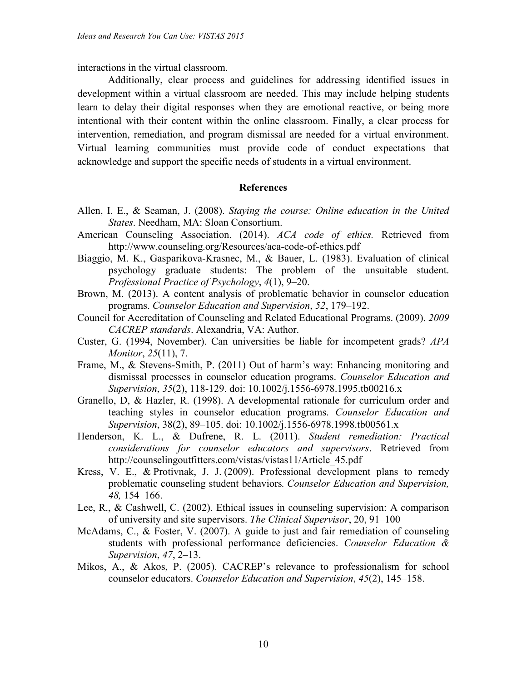interactions in the virtual classroom.

Additionally, clear process and guidelines for addressing identified issues in development within a virtual classroom are needed. This may include helping students learn to delay their digital responses when they are emotional reactive, or being more intentional with their content within the online classroom. Finally, a clear process for intervention, remediation, and program dismissal are needed for a virtual environment. Virtual learning communities must provide code of conduct expectations that acknowledge and support the specific needs of students in a virtual environment.

#### **References**

- Allen, I. E., & Seaman, J. (2008). *Staying the course: Online education in the United States*. Needham, MA: Sloan Consortium.
- American Counseling Association. (2014). *ACA code of ethics.* Retrieved from http://www.counseling.org/Resources/aca-code-of-ethics.pdf
- Biaggio, M. K., Gasparikova-Krasnec, M., & Bauer, L. (1983). Evaluation of clinical psychology graduate students: The problem of the unsuitable student. *Professional Practice of Psychology*, *4*(1), 9–20.
- Brown, M. (2013). A content analysis of problematic behavior in counselor education programs. *Counselor Education and Supervision*, *52*, 179–192.
- Council for Accreditation of Counseling and Related Educational Programs. (2009). *2009 CACREP standards*. Alexandria, VA: Author.
- Custer, G. (1994, November). Can universities be liable for incompetent grads? *APA Monitor*, *25*(11), 7.
- Frame, M., & Stevens-Smith, P. (2011) Out of harm's way: Enhancing monitoring and dismissal processes in counselor education programs. *Counselor Education and Supervision*, *35*(2), 118-129. doi: 10.1002/j.1556-6978.1995.tb00216.x
- Granello, D, & Hazler, R. (1998). A developmental rationale for curriculum order and teaching styles in counselor education programs. *Counselor Education and Supervision*, 38(2), 89–105. doi: 10.1002/j.1556-6978.1998.tb00561.x
- Henderson, K. L., & Dufrene, R. L. (2011). *Student remediation: Practical considerations for counselor educators and supervisors*. Retrieved from http://counselingoutfitters.com/vistas/vistas11/Article 45.pdf
- Kress, V. E., & Protivnak, J. J. (2009). Professional development plans to remedy problematic counseling student behaviors*. Counselor Education and Supervision, 48,* 154–166.
- Lee, R., & Cashwell, C. (2002). Ethical issues in counseling supervision: A comparison of university and site supervisors. *The Clinical Supervisor*, 20, 91–100
- McAdams, C., & Foster, V. (2007). A guide to just and fair remediation of counseling students with professional performance deficiencies. *Counselor Education & Supervision*, *47*, 2–13.
- Mikos, A., & Akos, P. (2005). CACREP's relevance to professionalism for school counselor educators. *Counselor Education and Supervision*, *45*(2), 145–158.